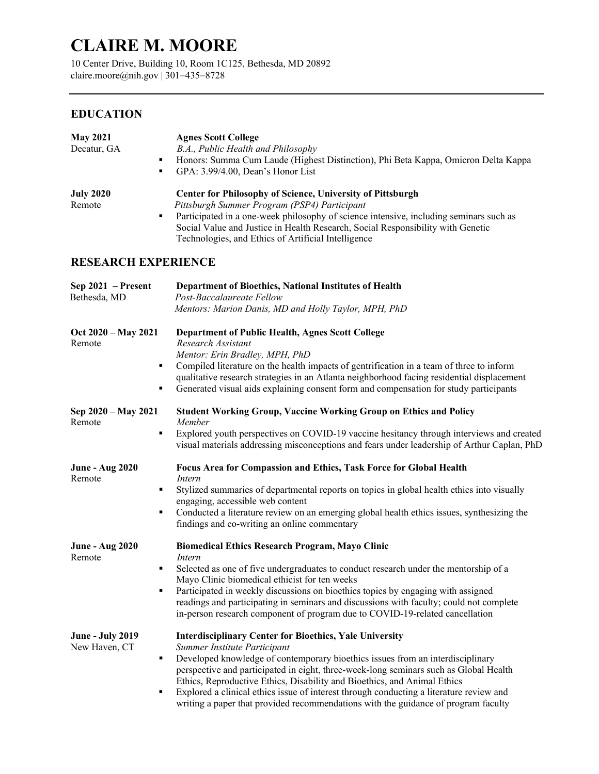# **CLAIRE M. MOORE**

10 Center Drive, Building 10, Room 1C125, Bethesda, MD 20892 claire.moore@nih.gov | 301–435–8728

## **EDUCATION**

| <b>May 2021</b><br>Decatur, GA<br>٠                     | <b>Agnes Scott College</b><br>B.A., Public Health and Philosophy<br>Honors: Summa Cum Laude (Highest Distinction), Phi Beta Kappa, Omicron Delta Kappa<br>GPA: 3.99/4.00, Dean's Honor List                                                                                                                                                                                                                                                                                                                                            |  |  |  |
|---------------------------------------------------------|----------------------------------------------------------------------------------------------------------------------------------------------------------------------------------------------------------------------------------------------------------------------------------------------------------------------------------------------------------------------------------------------------------------------------------------------------------------------------------------------------------------------------------------|--|--|--|
| <b>July 2020</b><br>Remote<br>٠                         | <b>Center for Philosophy of Science, University of Pittsburgh</b><br>Pittsburgh Summer Program (PSP4) Participant<br>Participated in a one-week philosophy of science intensive, including seminars such as<br>Social Value and Justice in Health Research, Social Responsibility with Genetic<br>Technologies, and Ethics of Artificial Intelligence                                                                                                                                                                                  |  |  |  |
| <b>RESEARCH EXPERIENCE</b>                              |                                                                                                                                                                                                                                                                                                                                                                                                                                                                                                                                        |  |  |  |
| Sep 2021 - Present<br>Bethesda, MD                      | Department of Bioethics, National Institutes of Health<br>Post-Baccalaureate Fellow<br>Mentors: Marion Danis, MD and Holly Taylor, MPH, PhD                                                                                                                                                                                                                                                                                                                                                                                            |  |  |  |
| Oct 2020 – May 2021<br>Remote<br>٠                      | <b>Department of Public Health, Agnes Scott College</b><br>Research Assistant<br>Mentor: Erin Bradley, MPH, PhD<br>Compiled literature on the health impacts of gentrification in a team of three to inform<br>qualitative research strategies in an Atlanta neighborhood facing residential displacement<br>Generated visual aids explaining consent form and compensation for study participants                                                                                                                                     |  |  |  |
| Sep 2020 – May 2021<br>Remote<br>٠                      | <b>Student Working Group, Vaccine Working Group on Ethics and Policy</b><br>Member<br>Explored youth perspectives on COVID-19 vaccine hesitancy through interviews and created<br>visual materials addressing misconceptions and fears under leadership of Arthur Caplan, PhD                                                                                                                                                                                                                                                          |  |  |  |
| <b>June - Aug 2020</b><br>Remote<br>$\blacksquare$<br>٠ | Focus Area for Compassion and Ethics, Task Force for Global Health<br>Intern<br>Stylized summaries of departmental reports on topics in global health ethics into visually<br>engaging, accessible web content<br>Conducted a literature review on an emerging global health ethics issues, synthesizing the<br>findings and co-writing an online commentary                                                                                                                                                                           |  |  |  |
| <b>June - Aug 2020</b><br>Remote<br>٠                   | <b>Biomedical Ethics Research Program, Mayo Clinic</b><br>Intern<br>Selected as one of five undergraduates to conduct research under the mentorship of a<br>Mayo Clinic biomedical ethicist for ten weeks<br>Participated in weekly discussions on bioethics topics by engaging with assigned<br>readings and participating in seminars and discussions with faculty; could not complete<br>in-person research component of program due to COVID-19-related cancellation                                                               |  |  |  |
| <b>June - July 2019</b><br>New Haven, CT<br>٠           | <b>Interdisciplinary Center for Bioethics, Yale University</b><br>Summer Institute Participant<br>Developed knowledge of contemporary bioethics issues from an interdisciplinary<br>perspective and participated in eight, three-week-long seminars such as Global Health<br>Ethics, Reproductive Ethics, Disability and Bioethics, and Animal Ethics<br>Explored a clinical ethics issue of interest through conducting a literature review and<br>writing a paper that provided recommendations with the guidance of program faculty |  |  |  |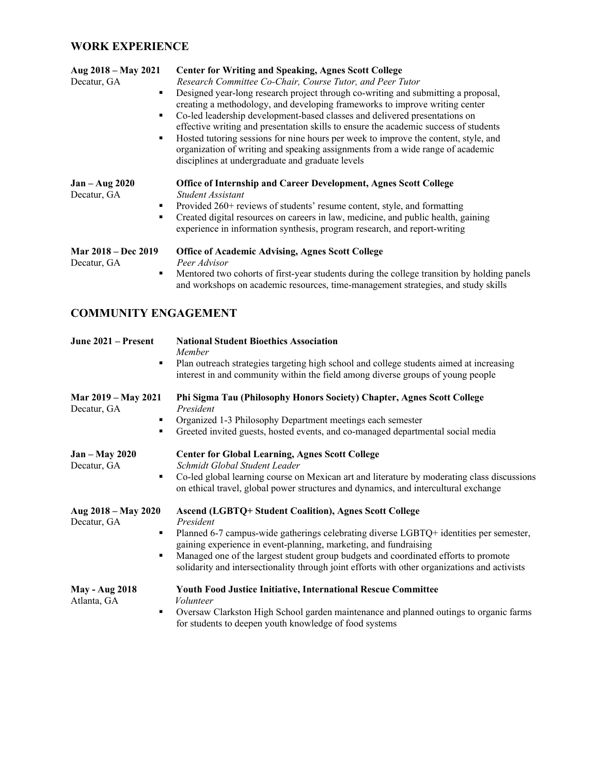## **WORK EXPERIENCE**

| Aug 2018 – May 2021<br>Decatur, GA<br>٠<br>٠<br>٠ | <b>Center for Writing and Speaking, Agnes Scott College</b><br>Research Committee Co-Chair, Course Tutor, and Peer Tutor<br>Designed year-long research project through co-writing and submitting a proposal,<br>creating a methodology, and developing frameworks to improve writing center<br>Co-led leadership development-based classes and delivered presentations on<br>effective writing and presentation skills to ensure the academic success of students<br>Hosted tutoring sessions for nine hours per week to improve the content, style, and<br>organization of writing and speaking assignments from a wide range of academic<br>disciplines at undergraduate and graduate levels |
|---------------------------------------------------|-------------------------------------------------------------------------------------------------------------------------------------------------------------------------------------------------------------------------------------------------------------------------------------------------------------------------------------------------------------------------------------------------------------------------------------------------------------------------------------------------------------------------------------------------------------------------------------------------------------------------------------------------------------------------------------------------|
| $Jan - Aug 2020$<br>Decatur, GA<br>٠<br>٠         | Office of Internship and Career Development, Agnes Scott College<br>Student Assistant<br>Provided 260+ reviews of students' resume content, style, and formatting<br>Created digital resources on careers in law, medicine, and public health, gaining<br>experience in information synthesis, program research, and report-writing                                                                                                                                                                                                                                                                                                                                                             |
| <b>Mar 2018 – Dec 2019</b><br>Decatur, GA<br>٠    | <b>Office of Academic Advising, Agnes Scott College</b><br>Peer Advisor<br>Mentored two cohorts of first-year students during the college transition by holding panels<br>and workshops on academic resources, time-management strategies, and study skills                                                                                                                                                                                                                                                                                                                                                                                                                                     |

## **COMMUNITY ENGAGEMENT**

| June 2021 – Present<br>٠                     | <b>National Student Bioethics Association</b><br>Member<br>Plan outreach strategies targeting high school and college students aimed at increasing<br>interest in and community within the field among diverse groups of young people                                                                                                                                                                                            |
|----------------------------------------------|----------------------------------------------------------------------------------------------------------------------------------------------------------------------------------------------------------------------------------------------------------------------------------------------------------------------------------------------------------------------------------------------------------------------------------|
| Mar 2019 – May 2021<br>Decatur, GA<br>٠<br>٠ | Phi Sigma Tau (Philosophy Honors Society) Chapter, Agnes Scott College<br>President<br>Organized 1-3 Philosophy Department meetings each semester<br>Greeted invited guests, hosted events, and co-managed departmental social media                                                                                                                                                                                             |
| <b>Jan – May 2020</b><br>Decatur, GA<br>٠    | <b>Center for Global Learning, Agnes Scott College</b><br>Schmidt Global Student Leader<br>Co-led global learning course on Mexican art and literature by moderating class discussions<br>on ethical travel, global power structures and dynamics, and intercultural exchange                                                                                                                                                    |
| Aug 2018 – May 2020<br>Decatur, GA<br>٠<br>٠ | <b>Ascend (LGBTQ+ Student Coalition), Agnes Scott College</b><br>President<br>Planned 6-7 campus-wide gatherings celebrating diverse LGBTQ+ identities per semester,<br>gaining experience in event-planning, marketing, and fundraising<br>Managed one of the largest student group budgets and coordinated efforts to promote<br>solidarity and intersectionality through joint efforts with other organizations and activists |
| <b>May - Aug 2018</b><br>Atlanta, GA<br>٠    | <b>Youth Food Justice Initiative, International Rescue Committee</b><br>Volunteer<br>Oversaw Clarkston High School garden maintenance and planned outings to organic farms<br>for students to deepen youth knowledge of food systems                                                                                                                                                                                             |